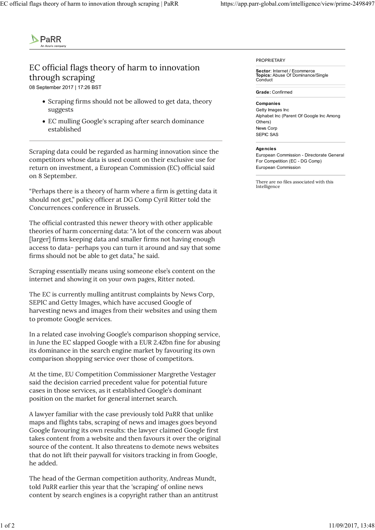

## EC official flags theory of harm to innovation through scraping

08 September 2017 | 17:26 BST

- Scraping firms should not be allowed to get data, theory suggests
- EC mulling Google's scraping after search dominance established

Scraping data could be regarded as harming innovation since the competitors whose data is used count on their exclusive use for return on investment, a European Commission (EC) official said on 8 September.

"Perhaps there is a theory of harm where a firm is getting data it should not get," policy officer at DG Comp Cyril Ritter told the Concurrences conference in Brussels.

The official contrasted this newer theory with other applicable theories of harm concerning data: "A lot of the concern was about [larger] firms keeping data and smaller firms not having enough access to data- perhaps you can turn it around and say that some firms should not be able to get data," he said.

Scraping essentially means using someone else's content on the internet and showing it on your own pages, Ritter noted.

The EC is currently mulling antitrust complaints by News Corp, SEPIC and Getty Images, which have accused Google of harvesting news and images from their websites and using them to promote Google services.

In a related case involving Google's comparison shopping service, in June the EC slapped Google with a EUR 2.42bn fine for abusing its dominance in the search engine market by favouring its own comparison shopping service over those of competitors.

At the time, EU Competition Commissioner Margrethe Vestager said the decision carried precedent value for potential future cases in those services, as it established Google's dominant position on the market for general internet search.

A lawyer familiar with the case previously told PaRR that unlike maps and flights tabs, scraping of news and images goes beyond Google favouring its own results: the lawyer claimed Google first takes content from a website and then favours it over the original source of the content. It also threatens to demote news websites that do not lift their paywall for visitors tracking in from Google, he added. At the time, EU Competition Commissioner Margrethe Vestager<br>said the decision carried precedent value for potential future<br>cases in those services, as it established Google's dominant<br>position on the market for general in

The head of the German competition authority, Andreas Mundt, told PaRR earlier this year that the 'scraping' of online news content by search engines is a copyright rather than an antitrust PROPRIETARY

Sector: Internet / Ecommerce Topics: Abuse Of Dominance/Single Conduct

Grade: Confirmed

Companies

Getty Images Inc Alphabet Inc (Parent Of Google Inc Among Others) News Corp SEPIC SAS

## **Agencies**

European Commission - Directorate General For Competition (EC - DG Comp) European Commission

There are no files associated with this Intelligence